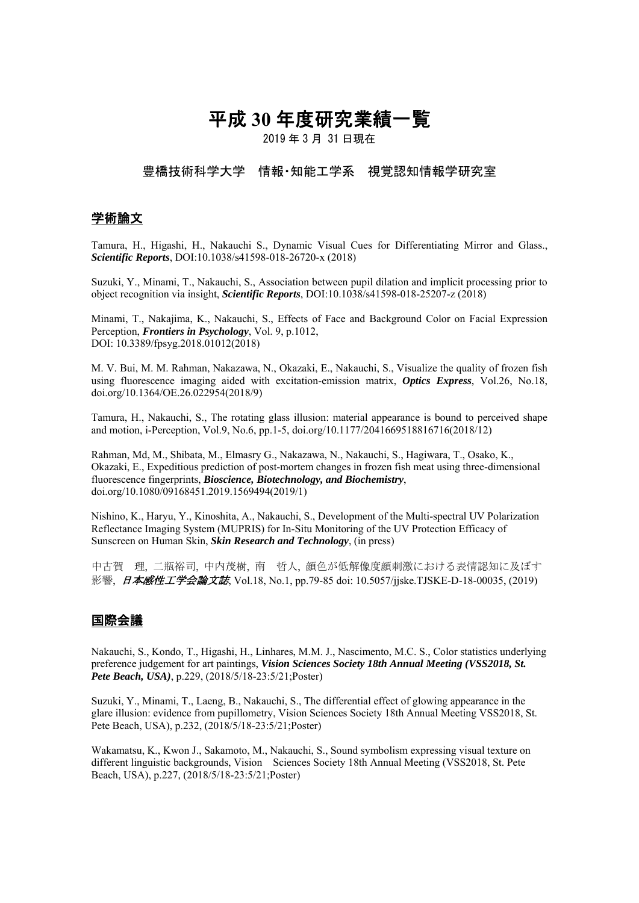# 平成 **30** 年度研究業績一覧

2019 年 3 月 31 日現在

#### 豊橋技術科学大学 情報・知能工学系 視覚認知情報学研究室

## 学術論文

Tamura, H., Higashi, H., Nakauchi S., Dynamic Visual Cues for Differentiating Mirror and Glass., *Scientific Reports*, DOI:10.1038/s41598-018-26720-x (2018)

Suzuki, Y., Minami, T., Nakauchi, S., Association between pupil dilation and implicit processing prior to object recognition via insight, *Scientific Reports*, DOI:10.1038/s41598-018-25207-z (2018)

Minami, T., Nakajima, K., Nakauchi, S., Effects of Face and Background Color on Facial Expression Perception, *Frontiers in Psychology*, Vol. 9, p.1012, DOI: 10.3389/fpsyg.2018.01012(2018)

M. V. Bui, M. M. Rahman, Nakazawa, N., Okazaki, E., Nakauchi, S., Visualize the quality of frozen fish using fluorescence imaging aided with excitation-emission matrix, *Optics Express*, Vol.26, No.18, doi.org/10.1364/OE.26.022954(2018/9)

Tamura, H., Nakauchi, S., The rotating glass illusion: material appearance is bound to perceived shape and motion, i-Perception, Vol.9, No.6, pp.1-5, doi.org/10.1177/2041669518816716(2018/12)

Rahman, Md, M., Shibata, M., Elmasry G., Nakazawa, N., Nakauchi, S., Hagiwara, T., Osako, K., Okazaki, E., Expeditious prediction of post-mortem changes in frozen fish meat using three-dimensional fluorescence fingerprints, *Bioscience, Biotechnology, and Biochemistry*, doi.org/10.1080/09168451.2019.1569494(2019/1)

Nishino, K., Haryu, Y., Kinoshita, A., Nakauchi, S., Development of the Multi-spectral UV Polarization Reflectance Imaging System (MUPRIS) for In-Situ Monitoring of the UV Protection Efficacy of Sunscreen on Human Skin, *Skin Research and Technology*, (in press)

中古賀 理, 二瓶裕司, 中内茂樹, 南 哲人, 顔色が低解像度顔刺激における表情認知に及ぼす 影響, 日本感性工学会論文誌, Vol.18, No.1, pp.79-85 doi: 10.5057/jjske.TJSKE-D-18-00035, (2019)

#### 国際会議

Nakauchi, S., Kondo, T., Higashi, H., Linhares, M.M. J., Nascimento, M.C. S., Color statistics underlying preference judgement for art paintings, *Vision Sciences Society 18th Annual Meeting (VSS2018, St. Pete Beach, USA)*, p.229, (2018/5/18-23:5/21;Poster)

Suzuki, Y., Minami, T., Laeng, B., Nakauchi, S., The differential effect of glowing appearance in the glare illusion: evidence from pupillometry, Vision Sciences Society 18th Annual Meeting VSS2018, St. Pete Beach, USA), p.232, (2018/5/18-23:5/21;Poster)

Wakamatsu, K., Kwon J., Sakamoto, M., Nakauchi, S., Sound symbolism expressing visual texture on different linguistic backgrounds, Vision Sciences Society 18th Annual Meeting (VSS2018, St. Pete Beach, USA), p.227, (2018/5/18-23:5/21;Poster)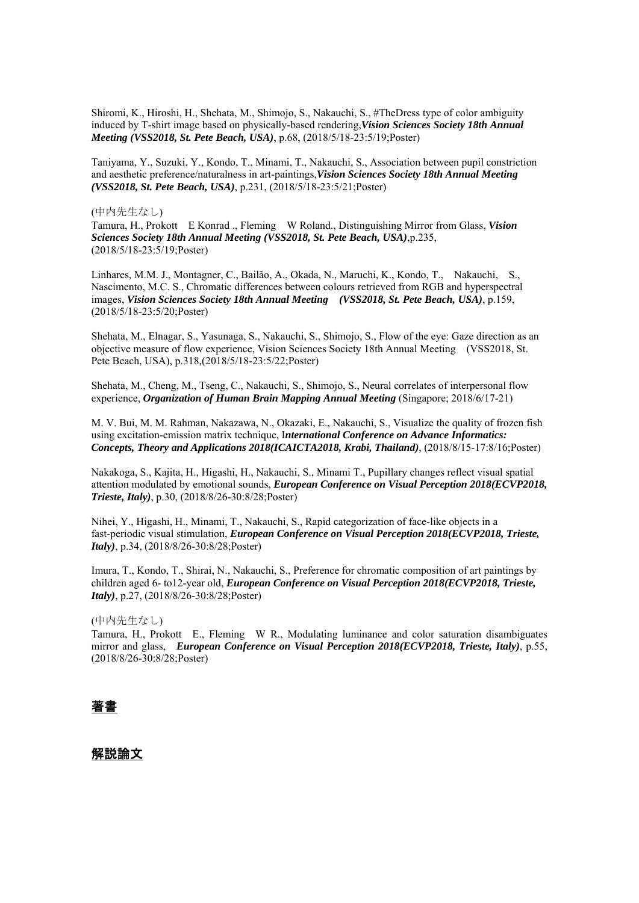Shiromi, K., Hiroshi, H., Shehata, M., Shimojo, S., Nakauchi, S., #TheDress type of color ambiguity induced by T-shirt image based on physically-based rendering,*Vision Sciences Society 18th Annual Meeting (VSS2018, St. Pete Beach, USA)*, p.68, (2018/5/18-23:5/19;Poster)

Taniyama, Y., Suzuki, Y., Kondo, T., Minami, T., Nakauchi, S., Association between pupil constriction and aesthetic preference/naturalness in art-paintings,*Vision Sciences Society 18th Annual Meeting (VSS2018, St. Pete Beach, USA)*, p.231, (2018/5/18-23:5/21;Poster)

#### (中内先生なし)

Tamura, H., Prokott E Konrad ., Fleming W Roland., Distinguishing Mirror from Glass, *Vision Sciences Society 18th Annual Meeting (VSS2018, St. Pete Beach, USA)*,p.235, (2018/5/18-23:5/19;Poster)

Linhares, M.M. J., Montagner, C., Bailão, A., Okada, N., Maruchi, K., Kondo, T., Nakauchi, S., Nascimento, M.C. S., Chromatic differences between colours retrieved from RGB and hyperspectral images, *Vision Sciences Society 18th Annual Meeting (VSS2018, St. Pete Beach, USA)*, p.159, (2018/5/18-23:5/20;Poster)

Shehata, M., Elnagar, S., Yasunaga, S., Nakauchi, S., Shimojo, S., Flow of the eye: Gaze direction as an objective measure of flow experience, Vision Sciences Society 18th Annual Meeting (VSS2018, St. Pete Beach, USA), p.318,(2018/5/18-23:5/22;Poster)

Shehata, M., Cheng, M., Tseng, C., Nakauchi, S., Shimojo, S., Neural correlates of interpersonal flow experience, *Organization of Human Brain Mapping Annual Meeting* (Singapore; 2018/6/17-21)

M. V. Bui, M. M. Rahman, Nakazawa, N., Okazaki, E., Nakauchi, S., Visualize the quality of frozen fish using excitation-emission matrix technique, I*nternational Conference on Advance Informatics: Concepts, Theory and Applications 2018(ICAICTA2018, Krabi, Thailand)*, (2018/8/15-17:8/16;Poster)

Nakakoga, S., Kajita, H., Higashi, H., Nakauchi, S., Minami T., Pupillary changes reflect visual spatial attention modulated by emotional sounds, *European Conference on Visual Perception 2018(ECVP2018, Trieste, Italy)*, p.30, (2018/8/26-30:8/28;Poster)

Nihei, Y., Higashi, H., Minami, T., Nakauchi, S., Rapid categorization of face-like objects in a fast-periodic visual stimulation, *European Conference on Visual Perception 2018(ECVP2018, Trieste, Italy)*, p.34, (2018/8/26-30:8/28;Poster)

Imura, T., Kondo, T., Shirai, N., Nakauchi, S., Preference for chromatic composition of art paintings by children aged 6- to12-year old, *European Conference on Visual Perception 2018(ECVP2018, Trieste, Italy)*, p.27, (2018/8/26-30:8/28;Poster)

#### (中内先生なし)

Tamura, H., Prokott E., Fleming W R., Modulating luminance and color saturation disambiguates mirror and glass, *European Conference on Visual Perception 2018(ECVP2018, Trieste, Italy)*, p.55, (2018/8/26-30:8/28;Poster)

#### 著書

#### 解説論文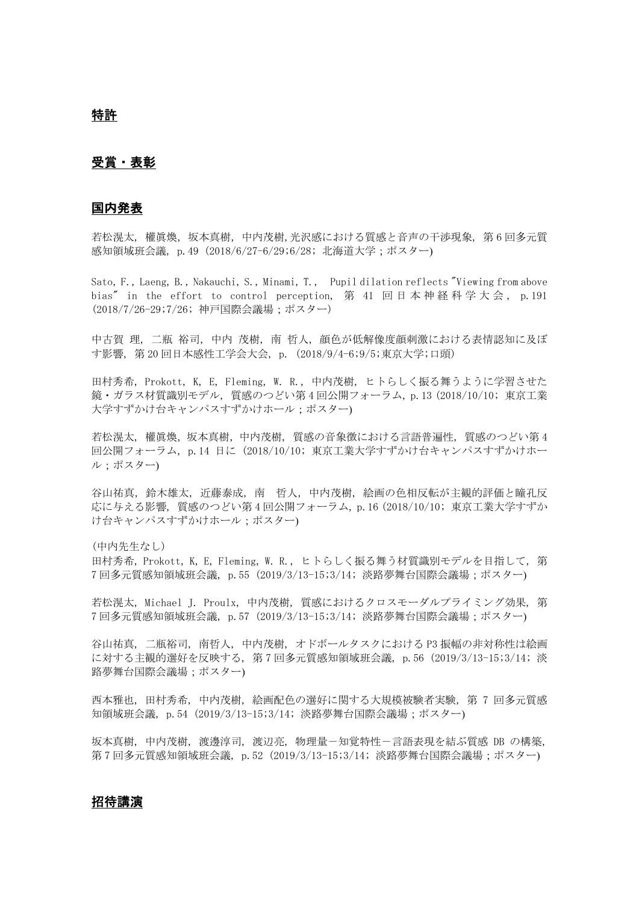### 受賞・表彰

#### 国内発表

若松滉太, 權眞煥,坂本真樹,中内茂樹,光沢感における質感と音声の干渉現象, 第 6 回多元質 感知領域班会議, p.49 (2018/6/27-6/29;6/28; 北海道大学;ポスター)

Sato, F., Laeng, B., Nakauchi, S., Minami, T., Pupil dilation reflects "Viewing from above bias" in the effort to control perception, 第 41 回 日 本 神 経 科 学 大 会, p. 191 (2018/7/26-29;7/26; 神戸国際会議場;ポスター)

中古賀 理, 二瓶 裕司, 中内 茂樹, 南 哲人, 顔色が低解像度顔刺激における表情認知に及ぼ す影響, 第 20 回日本感性工学会大会, p. (2018/9/4-6;9/5;東京大学;口頭)

田村秀希, Prokott, K, E, Fleming, W. R., 中内茂樹, ヒトらしく振る舞うように学習させた 鏡・ガラス材質識別モデル, 質感のつどい第 4 回公開フォーラム, p.13 (2018/10/10; 東京工業 大学すずかけ台キャンパスすずかけホール:ポスター)

若松滉太, 權眞煥,坂本真樹,中内茂樹, 質感の音象徴における言語普遍性, 質感のつどい第 4 回公開フォーラム, p.14 日に (2018/10/10; 東京工業大学すずかけ台キャンパスすずかけホー ル;ポスター)

谷山祐真, 鈴木雄太, 近藤泰成, 南 哲人, 中内茂樹, 絵画の色相反転が主観的評価と瞳孔反 応に与える影響, 質感のつどい第 4 回公開フォーラム, p.16 (2018/10/10; 東京工業大学すずか け台キャンパスすずかけホール;ポスター)

(中内先生なし)

田村秀希, Prokott, K, E, Fleming, W. R., ヒトらしく振る舞う材質識別モデルを目指して, 第 7 回多元質感知領域班会議, p.55 (2019/3/13-15;3/14; 淡路夢舞台国際会議場;ポスター)

若松滉太, Michael J. Proulx, 中内茂樹, 質感におけるクロスモーダルプライミング効果, 第 7 回多元質感知領域班会議, p.57 (2019/3/13-15;3/14; 淡路夢舞台国際会議場;ポスター)

谷山祐真, 二瓶裕司, 南哲人, 中内茂樹, オドボールタスクにおける P3 振幅の非対称性は絵画 に対する主観的選好を反映する, 第 7 回多元質感知領域班会議, p.56 (2019/3/13-15;3/14; 淡 路夢舞台国際会議場;ポスター)

西本雅也, 田村秀希, 中内茂樹, 絵画配色の選好に関する大規模被験者実験, 第 7 回多元質感 知領域班会議, p.54 (2019/3/13-15;3/14; 淡路夢舞台国際会議場;ポスター)

坂本真樹, 中内茂樹, 渡邊淳司, 渡辺亮, 物理量-知覚特性-言語表現を結ぶ質感 DB の構築, 第7回多元質感知領域班会議, p.52 (2019/3/13-15;3/14; 淡路夢舞台国際会議場:ポスター)

#### 招待講演

特許